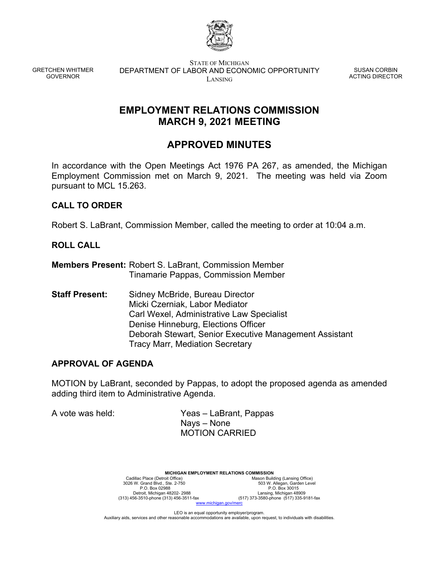

GRETCHEN WHITMER GOVERNOR

STATE OF MICHIGAN DEPARTMENT OF LABOR AND ECONOMIC OPPORTUNITY LANSING

SUSAN CORBIN ACTING DIRECTOR

## **EMPLOYMENT RELATIONS COMMISSION MARCH 9, 2021 MEETING**

# **APPROVED MINUTES**

In accordance with the Open Meetings Act 1976 PA 267, as amended, the Michigan Employment Commission met on March 9, 2021. The meeting was held via Zoom pursuant to MCL 15.263.

## **CALL TO ORDER**

Robert S. LaBrant, Commission Member, called the meeting to order at 10:04 a.m.

#### **ROLL CALL**

**Members Present:** Robert S. LaBrant, Commission Member Tinamarie Pappas, Commission Member

**Staff Present:** Sidney McBride, Bureau Director Micki Czerniak, Labor Mediator Carl Wexel, Administrative Law Specialist Denise Hinneburg, Elections Officer Deborah Stewart, Senior Executive Management Assistant Tracy Marr, Mediation Secretary

### **APPROVAL OF AGENDA**

MOTION by LaBrant, seconded by Pappas, to adopt the proposed agenda as amended adding third item to Administrative Agenda.

A vote was held: Yeas – LaBrant, Pappas Nays – None MOTION CARRIED

> **MICHIGAN EMPLOYMENT RELATIONS COMMISSION**<br>Mason Build<br>Mason Build Cadillac Place (Detroit Office) Mason Building (Lansing Office)<br>3026 W. Grand Blvd., Ste. 2-750 503 W. Allegan, Garden Level P.O. Box 02988 P.O. Box 30015 Detroit, Michigan 48202- 2988 Lansing, Michigan 48909 (313) 456-3510-phone (313) 456-3511-fax (517) 373-3580-phone (517) 335-9181-fax w michigan gov/m

LEO is an equal opportunity employer/program. Auxiliary aids, services and other reasonable accommodations are available, upon request, to individuals with disabilities.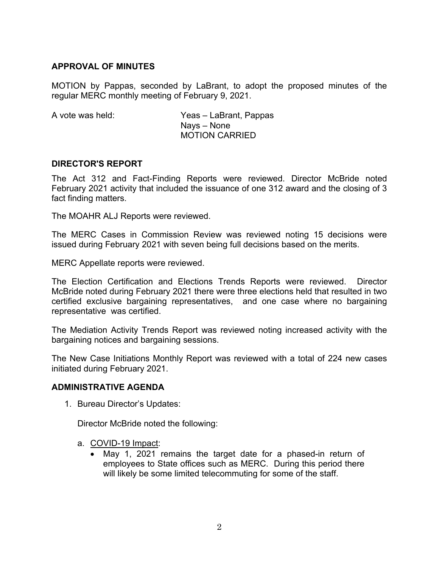### **APPROVAL OF MINUTES**

MOTION by Pappas, seconded by LaBrant, to adopt the proposed minutes of the regular MERC monthly meeting of February 9, 2021.

A vote was held: Yeas – LaBrant, Pappas Nays – None MOTION CARRIED

### **DIRECTOR'S REPORT**

The Act 312 and Fact-Finding Reports were reviewed. Director McBride noted February 2021 activity that included the issuance of one 312 award and the closing of 3 fact finding matters.

The MOAHR ALJ Reports were reviewed.

The MERC Cases in Commission Review was reviewed noting 15 decisions were issued during February 2021 with seven being full decisions based on the merits.

MERC Appellate reports were reviewed.

The Election Certification and Elections Trends Reports were reviewed. Director McBride noted during February 2021 there were three elections held that resulted in two certified exclusive bargaining representatives, and one case where no bargaining representative was certified.

The Mediation Activity Trends Report was reviewed noting increased activity with the bargaining notices and bargaining sessions.

The New Case Initiations Monthly Report was reviewed with a total of 224 new cases initiated during February 2021.

#### **ADMINISTRATIVE AGENDA**

1. Bureau Director's Updates:

Director McBride noted the following:

- a. COVID-19 Impact:
	- May 1, 2021 remains the target date for a phased-in return of employees to State offices such as MERC. During this period there will likely be some limited telecommuting for some of the staff.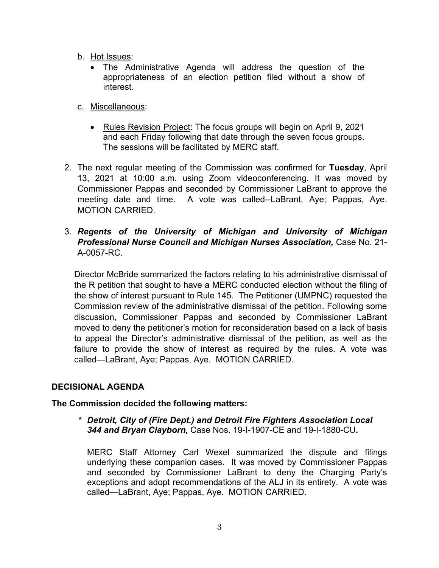- b. Hot Issues:
	- The Administrative Agenda will address the question of the appropriateness of an election petition filed without a show of interest.
- c. Miscellaneous:
	- Rules Revision Project: The focus groups will begin on April 9, 2021 and each Friday following that date through the seven focus groups. The sessions will be facilitated by MERC staff.
- 2. The next regular meeting of the Commission was confirmed for **Tuesday**, April 13, 2021 at 10:00 a.m. using Zoom videoconferencing. It was moved by Commissioner Pappas and seconded by Commissioner LaBrant to approve the meeting date and time. A vote was called--LaBrant, Aye; Pappas, Aye. MOTION CARRIED.
- 3. *Regents of the University of Michigan and University of Michigan Professional Nurse Council and Michigan Nurses Association,* Case No. 21- A-0057-RC.

Director McBride summarized the factors relating to his administrative dismissal of the R petition that sought to have a MERC conducted election without the filing of the show of interest pursuant to Rule 145. The Petitioner (UMPNC) requested the Commission review of the administrative dismissal of the petition. Following some discussion, Commissioner Pappas and seconded by Commissioner LaBrant moved to deny the petitioner's motion for reconsideration based on a lack of basis to appeal the Director's administrative dismissal of the petition, as well as the failure to provide the show of interest as required by the rules. A vote was called—LaBrant, Aye; Pappas, Aye. MOTION CARRIED.

## **DECISIONAL AGENDA**

### **The Commission decided the following matters:**

*\* Detroit, City of (Fire Dept.) and Detroit Fire Fighters Association Local 344 and Bryan Clayborn,* Case Nos. 19-I-1907-CE and 19-I-1880-CU*.* 

MERC Staff Attorney Carl Wexel summarized the dispute and filings underlying these companion cases. It was moved by Commissioner Pappas and seconded by Commissioner LaBrant to deny the Charging Party's exceptions and adopt recommendations of the ALJ in its entirety. A vote was called—LaBrant, Aye; Pappas, Aye. MOTION CARRIED.